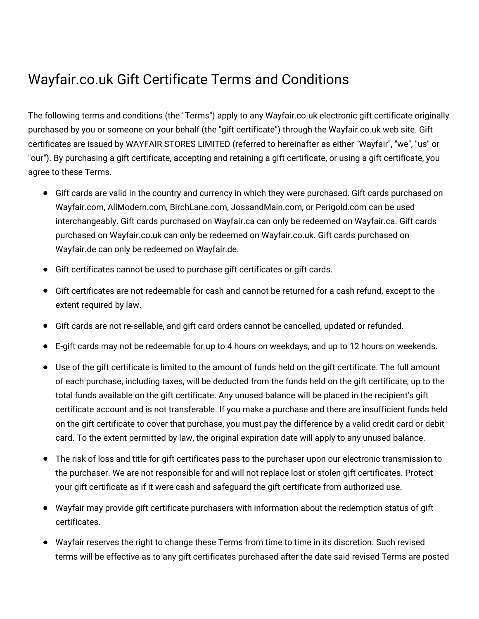## Wayfair.co.uk Gift Certificate Terms and Conditions

The following terms and conditions (the "Terms") apply to any Wayfair.co.uk electronic gift certificate originally purchased by you or someone on your behalf (the "gift certificate") through the Wayfair.co.uk web site. Gift certificates are issued by WAYFAIR STORES LIMITED (referred to hereinafter as either "Wayfair", "we", "us" or "our"). By purchasing a gift certificate, accepting and retaining a gift certificate, or using a gift certificate, you agree to these Terms.

- Gift cards are valid in the country and currency in which they were purchased. Gift cards purchased on Wayfair.com, AllModern.com, BirchLane.com, JossandMain.com, or Perigold.com can be used interchangeably. Gift cards purchased on Wayfair.ca can only be redeemed on Wayfair.ca. Gift cards purchased on Wayfair.co.uk can only be redeemed on Wayfair.co.uk. Gift cards purchased on Wayfair.de can only be redeemed on Wayfair.de.
- Gift certificates cannot be used to purchase gift certificates or gift cards.
- Gift certificates are not redeemable for cash and cannot be returned for a cash refund, except to the extent required by law.
- Gift cards are not re-sellable, and gift card orders cannot be cancelled, updated or refunded.
- E-gift cards may not be redeemable for up to 4 hours on weekdays, and up to 12 hours on weekends.
- Use of the gift certificate is limited to the amount of funds held on the gift certificate. The full amount of each purchase, including taxes, will be deducted from the funds held on the gift certificate, up to the total funds available on the gift certificate. Any unused balance will be placed in the recipient's gift certificate account and is not transferable. If you make a purchase and there are insufficient funds held on the gift certificate to cover that purchase, you must pay the difference by a valid credit card or debit card. To the extent permitted by law, the original expiration date will apply to any unused balance.
- The risk of loss and title for gift certificates pass to the purchaser upon our electronic transmission to the purchaser. We are not responsible for and will not replace lost or stolen gift certificates. Protect your gift certificate as if it were cash and safeguard the gift certificate from authorized use.
- Wayfair may provide gift certificate purchasers with information about the redemption status of gift certificates.
- Wayfair reserves the right to change these Terms from time to time in its discretion. Such revised terms will be effective as to any gift certificates purchased after the date said revised Terms are posted